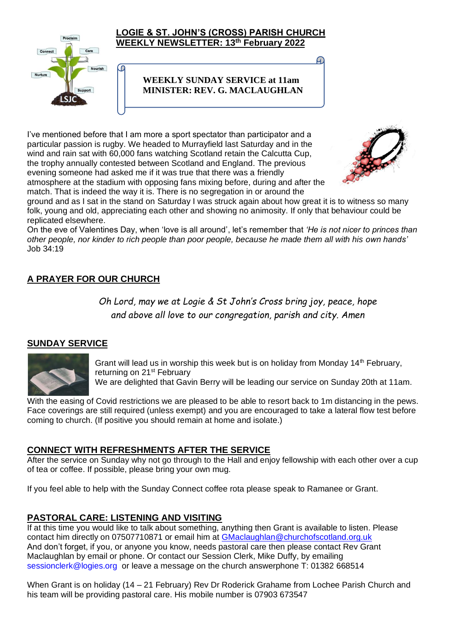

C

#### **LOGIE & ST. JOHN'S (CROSS) PARISH CHURCH WEEKLY NEWSLETTER: 13th February 2022**

## **WEEKLY SUNDAY SERVICE at 11am MINISTER: REV. G. MACLAUGHLAN**

I've mentioned before that I am more a sport spectator than participator and a particular passion is rugby. We headed to Murrayfield last Saturday and in the wind and rain sat with 60,000 fans watching Scotland retain the Calcutta Cup, the trophy annually contested between Scotland and England. The previous evening someone had asked me if it was true that there was a friendly atmosphere at the stadium with opposing fans mixing before, during and after the match. That is indeed the way it is. There is no segregation in or around the



ground and as I sat in the stand on Saturday I was struck again about how great it is to witness so many folk, young and old, appreciating each other and showing no animosity. If only that behaviour could be replicated elsewhere.

On the eve of Valentines Day, when 'love is all around', let's remember that *'He is not nicer to princes than other people, nor kinder to rich people than poor people, because he made them all with his own hands'*  Job 34:19

# **A PRAYER FOR OUR CHURCH**

*Oh Lord, may we at Logie & St John's Cross bring joy, peace, hope and above all love to our congregation, parish and city. Amen*

## **SUNDAY SERVICE**



Grant will lead us in worship this week but is on holiday from Monday  $14<sup>th</sup>$  February, returning on 21<sup>st</sup> February

We are delighted that Gavin Berry will be leading our service on Sunday 20th at 11am.

With the easing of Covid restrictions we are pleased to be able to resort back to 1m distancing in the pews. Face coverings are still required (unless exempt) and you are encouraged to take a lateral flow test before coming to church. (If positive you should remain at home and isolate.)

#### **CONNECT WITH REFRESHMENTS AFTER THE SERVICE**

After the service on Sunday why not go through to the Hall and enjoy fellowship with each other over a cup of tea or coffee. If possible, please bring your own mug.

If you feel able to help with the Sunday Connect coffee rota please speak to Ramanee or Grant.

## **PASTORAL CARE: LISTENING AND VISITING**

If at this time you would like to talk about something, anything then Grant is available to listen. Please contact him directly on 07507710871 or email him at [GMaclaughlan@churchofscotland.org.uk](mailto:GMaclaughlan@churchofscotland.org.uk) And don't forget, if you, or anyone you know, needs pastoral care then please contact Rev Grant Maclaughlan by email or phone. Or contact our Session Clerk, Mike Duffy, by emailing [sessionclerk@logies.org](mailto:sessionclerk@logies.org) or leave a message on the church answerphone T: 01382 668514

When Grant is on holiday (14 – 21 February) Rev Dr Roderick Grahame from Lochee Parish Church and his team will be providing pastoral care. His mobile number is 07903 673547